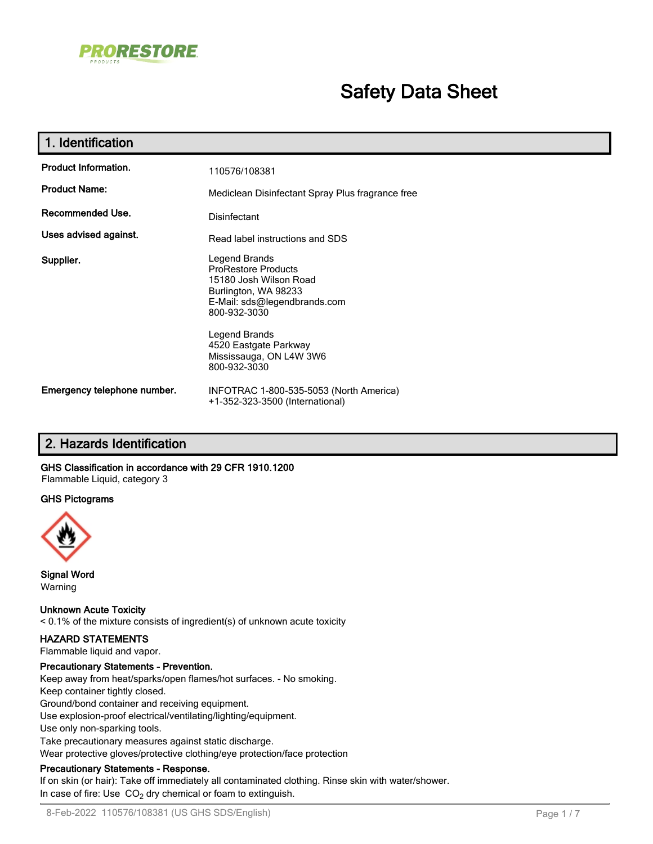

# **Safety Data Sheet**

| 1. Identification           |                                                                                                                                                                                                                                    |
|-----------------------------|------------------------------------------------------------------------------------------------------------------------------------------------------------------------------------------------------------------------------------|
| <b>Product Information.</b> | 110576/108381                                                                                                                                                                                                                      |
| <b>Product Name:</b>        | Mediclean Disinfectant Spray Plus fragrance free                                                                                                                                                                                   |
| Recommended Use.            | Disinfectant                                                                                                                                                                                                                       |
| Uses advised against.       | Read label instructions and SDS                                                                                                                                                                                                    |
| Supplier.                   | Legend Brands<br><b>ProRestore Products</b><br>15180 Josh Wilson Road<br>Burlington, WA 98233<br>E-Mail: sds@legendbrands.com<br>800-932-3030<br>Legend Brands<br>4520 Eastgate Parkway<br>Mississauga, ON L4W 3W6<br>800-932-3030 |
| Emergency telephone number. | INFOTRAC 1-800-535-5053 (North America)<br>+1-352-323-3500 (International)                                                                                                                                                         |

# **2. Hazards Identification**

### **GHS Classification in accordance with 29 CFR 1910.1200**

Flammable Liquid, category 3

# **GHS Pictograms**



**Signal Word** Warning

### **Unknown Acute Toxicity**

< 0.1% of the mixture consists of ingredient(s) of unknown acute toxicity

### **HAZARD STATEMENTS**

Flammable liquid and vapor.

### **Precautionary Statements - Prevention.**

Keep away from heat/sparks/open flames/hot surfaces. - No smoking.

Keep container tightly closed. Ground/bond container and receiving equipment. Use explosion-proof electrical/ventilating/lighting/equipment. Use only non-sparking tools. Take precautionary measures against static discharge. Wear protective gloves/protective clothing/eye protection/face protection

### **Precautionary Statements - Response.**

If on skin (or hair): Take off immediately all contaminated clothing. Rinse skin with water/shower. In case of fire: Use  $CO<sub>2</sub>$  dry chemical or foam to extinguish.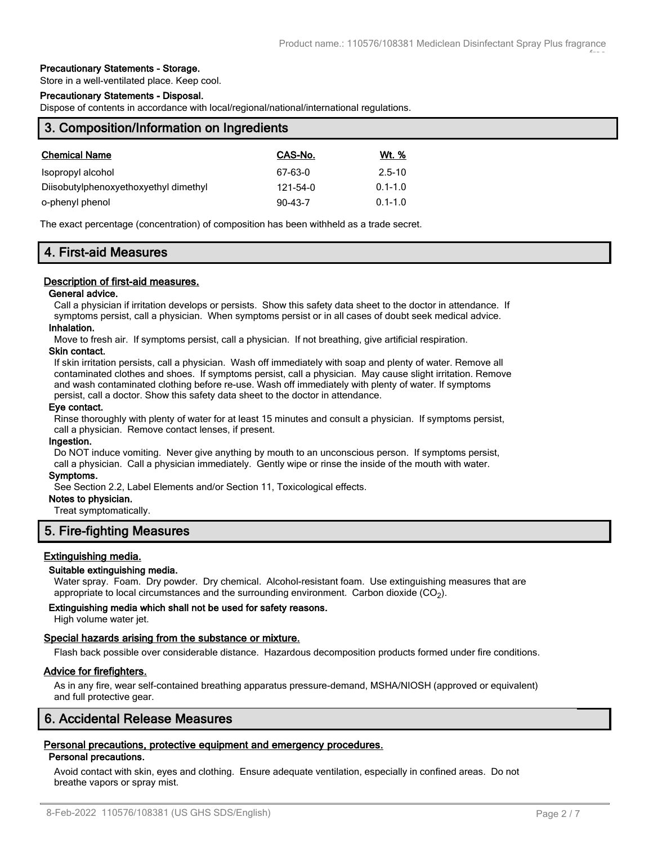### **Precautionary Statements - Storage.**

Store in a well-ventilated place. Keep cool.

### **Precautionary Statements - Disposal.**

Dispose of contents in accordance with local/regional/national/international regulations.

| 3. Composition/Information on Ingredients |              |  |  |
|-------------------------------------------|--------------|--|--|
| CAS-No.                                   | <u>Wt. %</u> |  |  |
| 67-63-0                                   | $2.5 - 10$   |  |  |
| 121-54-0                                  | $0.1 - 1.0$  |  |  |
| $90 - 43 - 7$                             | $0.1 - 1.0$  |  |  |
|                                           |              |  |  |

The exact percentage (concentration) of composition has been withheld as a trade secret.

# **4. First-aid Measures**

### **Description of first-aid measures.**

#### **General advice.**

Call a physician if irritation develops or persists. Show this safety data sheet to the doctor in attendance. If symptoms persist, call a physician. When symptoms persist or in all cases of doubt seek medical advice.

#### **Inhalation.**

Move to fresh air. If symptoms persist, call a physician. If not breathing, give artificial respiration.

#### **Skin contact.**

If skin irritation persists, call a physician. Wash off immediately with soap and plenty of water. Remove all contaminated clothes and shoes. If symptoms persist, call a physician. May cause slight irritation. Remove and wash contaminated clothing before re-use. Wash off immediately with plenty of water. If symptoms persist, call a doctor. Show this safety data sheet to the doctor in attendance.

#### **Eye contact.**

Rinse thoroughly with plenty of water for at least 15 minutes and consult a physician. If symptoms persist, call a physician. Remove contact lenses, if present.

#### **Ingestion.**

Do NOT induce vomiting. Never give anything by mouth to an unconscious person. If symptoms persist, call a physician. Call a physician immediately. Gently wipe or rinse the inside of the mouth with water.

#### **Symptoms.**

See Section 2.2, Label Elements and/or Section 11, Toxicological effects.

### **Notes to physician.**

Treat symptomatically.

# **5. Fire-fighting Measures**

### **Extinguishing media.**

### **Suitable extinguishing media.**

Water spray. Foam. Dry powder. Dry chemical. Alcohol-resistant foam. Use extinguishing measures that are appropriate to local circumstances and the surrounding environment. Carbon dioxide (CO<sub>2</sub>).

### **Extinguishing media which shall not be used for safety reasons.**

High volume water jet.

### **Special hazards arising from the substance or mixture.**

Flash back possible over considerable distance. Hazardous decomposition products formed under fire conditions.

### **Advice for firefighters.**

As in any fire, wear self-contained breathing apparatus pressure-demand, MSHA/NIOSH (approved or equivalent) and full protective gear.

# **6. Accidental Release Measures**

# **Personal precautions, protective equipment and emergency procedures.**

### **Personal precautions.**

Avoid contact with skin, eyes and clothing. Ensure adequate ventilation, especially in confined areas. Do not breathe vapors or spray mist.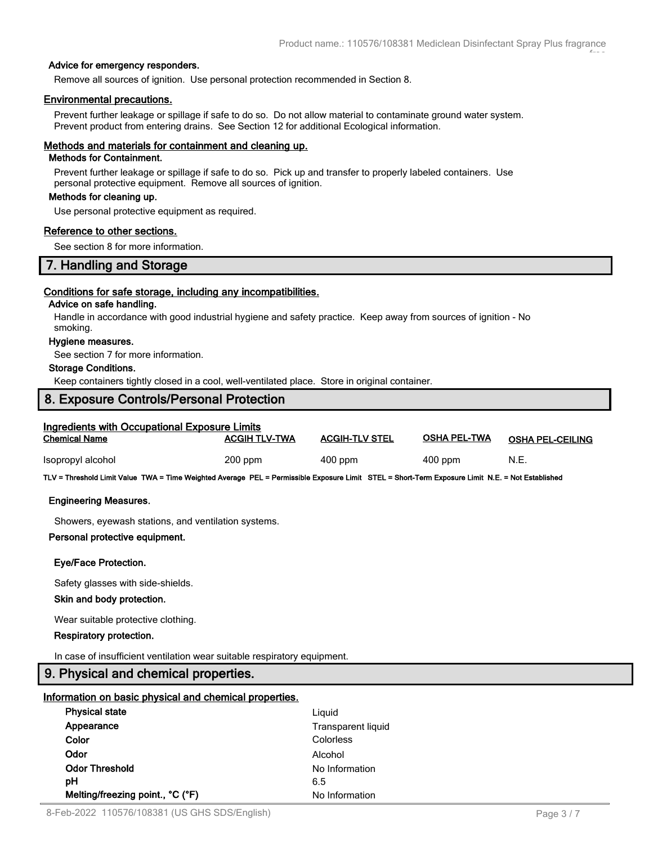free

### **Advice for emergency responders.**

Remove all sources of ignition. Use personal protection recommended in Section 8.

### **Environmental precautions.**

Prevent further leakage or spillage if safe to do so. Do not allow material to contaminate ground water system. Prevent product from entering drains. See Section 12 for additional Ecological information.

### **Methods and materials for containment and cleaning up.**

### **Methods for Containment.**

Prevent further leakage or spillage if safe to do so. Pick up and transfer to properly labeled containers. Use personal protective equipment. Remove all sources of ignition.

### **Methods for cleaning up.**

Use personal protective equipment as required.

### **Reference to other sections.**

See section 8 for more information.

# **7. Handling and Storage**

### **Conditions for safe storage, including any incompatibilities.**

### **Advice on safe handling.**

Handle in accordance with good industrial hygiene and safety practice. Keep away from sources of ignition - No smoking.

### **Hygiene measures.**

See section 7 for more information.

### **Storage Conditions.**

Keep containers tightly closed in a cool, well-ventilated place. Store in original container.

# **8. Exposure Controls/Personal Protection**

| <b>Ingredients with Occupational Exposure Limits</b><br><b>Chemical Name</b> | <b>ACGIH TLV-TWA</b> | <b>ACGIH-TLV STEL</b> | <b>OSHA PEL-TWA</b> | <b>OSHA PEL-CEILING</b> |
|------------------------------------------------------------------------------|----------------------|-----------------------|---------------------|-------------------------|
| Isopropyl alcohol                                                            | $200$ ppm            | $400$ ppm             | $400$ ppm           | N.E.                    |

**TLV = Threshold Limit Value TWA = Time Weighted Average PEL = Permissible Exposure Limit STEL = Short-Term Exposure Limit N.E. = Not Established**

### **Engineering Measures.**

Showers, eyewash stations, and ventilation systems.

### **Personal protective equipment.**

### **Eye/Face Protection.**

Safety glasses with side-shields.

### **Skin and body protection.**

Wear suitable protective clothing.

### **Respiratory protection.**

In case of insufficient ventilation wear suitable respiratory equipment.

# **9. Physical and chemical properties.**

### **Information on basic physical and chemical properties.**

| <b>Physical state</b>            | Liquid             |  |
|----------------------------------|--------------------|--|
| Appearance                       | Transparent liquid |  |
| Color                            | Colorless          |  |
| Odor                             | Alcohol            |  |
| <b>Odor Threshold</b>            | No Information     |  |
| рH                               | 6.5                |  |
| Melting/freezing point., °C (°F) | No Information     |  |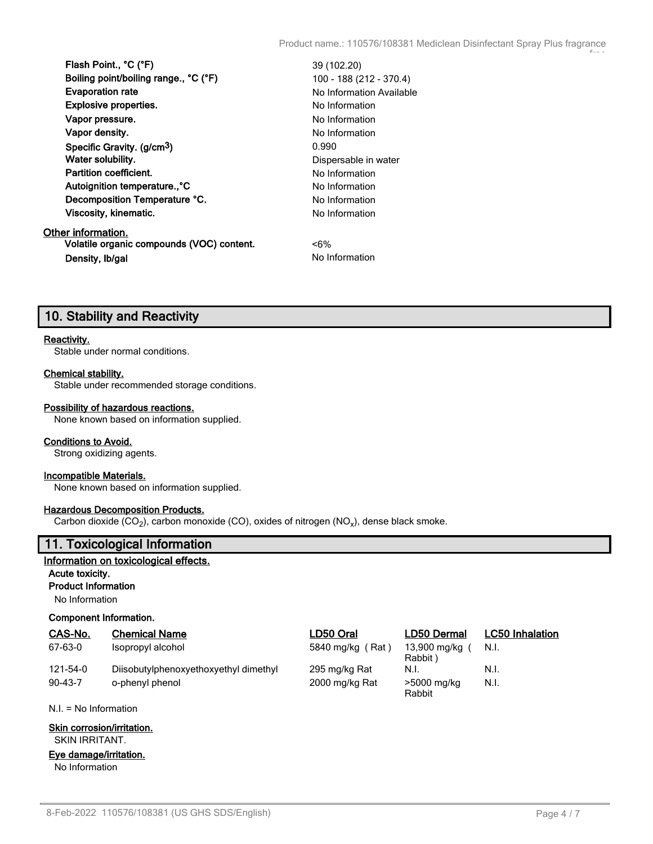| Flash Point., °C (°F)                     | 39 (102.20)              |
|-------------------------------------------|--------------------------|
| Boiling point/boiling range., °C (°F)     | 100 - 188 (212 - 370.4)  |
| <b>Evaporation rate</b>                   | No Information Available |
| <b>Explosive properties.</b>              | No Information           |
| Vapor pressure.                           | No Information           |
| Vapor density.                            | No Information           |
| Specific Gravity. (g/cm <sup>3</sup> )    | 0.990                    |
| Water solubility.                         | Dispersable in water     |
| Partition coefficient.                    | No Information           |
| Autoignition temperature°C                | No Information           |
| Decomposition Temperature °C.             | No Information           |
| Viscosity, kinematic.                     | No Information           |
| Other information.                        |                          |
| Volatile organic compounds (VOC) content. | $< 6\%$                  |
| Density, Ib/gal                           | No Information           |

# **10. Stability and Reactivity**

### **Reactivity.**

Stable under normal conditions.

#### **Chemical stability.**

Stable under recommended storage conditions.

### **Possibility of hazardous reactions.**

None known based on information supplied.

### **Conditions to Avoid.**

Strong oxidizing agents.

### **Incompatible Materials.**

None known based on information supplied.

### **Hazardous Decomposition Products.**

Carbon dioxide (CO<sub>2</sub>), carbon monoxide (CO), oxides of nitrogen (NO<sub>x</sub>), dense black smoke.

### **11. Toxicological Information**

### **Information on toxicological effects.**

**Acute toxicity.**

# **Product Information**

No Information

### **Component Information.**

| CAS-No.       | <b>Chemical Name</b>                  | LD50 Oral        | LD50 Dermal             | <b>LC50 Inhalation</b> |
|---------------|---------------------------------------|------------------|-------------------------|------------------------|
| 67-63-0       | Isopropyl alcohol                     | 5840 mg/kg (Rat) | 13,900 mg/kg<br>Rabbit) | N.I.                   |
| 121-54-0      | Diisobutylphenoxyethoxyethyl dimethyl | 295 mg/kg Rat    | N.I.                    | N.I.                   |
| $90 - 43 - 7$ | o-phenyl phenol                       | 2000 mg/kg Rat   | >5000 mg/kg<br>Rabbit   | N.I.                   |

N.I. = No Information

### **Skin corrosion/irritation.**

SKIN IRRITANT.

### **Eye damage/irritation.**

No Information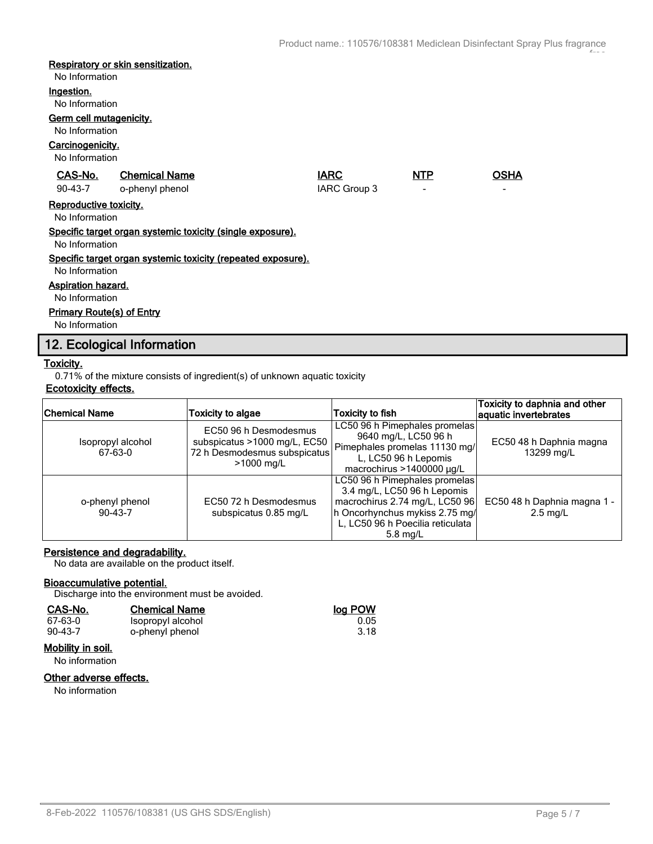# **Respiratory or skin sensitization.**

No Information

#### **Ingestion.**

No Information

# **Germ cell mutagenicity.**

No Information

### **Carcinogenicity.**

No Information

| .                                                                              |                                                                              |                             |            |                  |  |  |  |
|--------------------------------------------------------------------------------|------------------------------------------------------------------------------|-----------------------------|------------|------------------|--|--|--|
| CAS-No.<br>$90 - 43 - 7$                                                       | <b>Chemical Name</b><br>o-phenyl phenol                                      | <b>IARC</b><br>IARC Group 3 | <b>NTP</b> | <b>OSHA</b><br>- |  |  |  |
|                                                                                | Reproductive toxicity.<br>No Information                                     |                             |            |                  |  |  |  |
|                                                                                | Specific target organ systemic toxicity (single exposure).<br>No Information |                             |            |                  |  |  |  |
| Specific target organ systemic toxicity (repeated exposure).<br>No Information |                                                                              |                             |            |                  |  |  |  |
| Aspiration hazard.<br>No Information                                           |                                                                              |                             |            |                  |  |  |  |
| <b>Primary Route(s) of Entry</b><br>No Information                             |                                                                              |                             |            |                  |  |  |  |

# **12. Ecological Information**

### **Toxicity.**

0.71% of the mixture consists of ingredient(s) of unknown aquatic toxicity

# **Ecotoxicity effects.**

| Chemical Name                | Toxicity to algae                                                                                   | Toxicity to fish                                                                                                                                                                   | Toxicity to daphnia and other<br>aquatic invertebrates |
|------------------------------|-----------------------------------------------------------------------------------------------------|------------------------------------------------------------------------------------------------------------------------------------------------------------------------------------|--------------------------------------------------------|
| Isopropyl alcohol<br>67-63-0 | EC50 96 h Desmodesmus<br>subspicatus >1000 mg/L, EC50<br>72 h Desmodesmus subspicatus<br>>1000 mg/L | LC50 96 h Pimephales promelas<br>9640 mg/L, LC50 96 h<br>Pimephales promelas 11130 mg/<br>L, LC50 96 h Lepomis<br>macrochirus >1400000 $\mu$ g/L                                   | EC50 48 h Daphnia magna<br>13299 mg/L                  |
| o-phenyl phenol<br>$90-43-7$ | EC50 72 h Desmodesmus<br>subspicatus 0.85 mg/L                                                      | LC50 96 h Pimephales promelas<br>3.4 mg/L, LC50 96 h Lepomis<br>macrochirus 2.74 mg/L, LC50 96<br>h Oncorhynchus mykiss 2.75 mg/<br>L, LC50 96 h Poecilia reticulata<br>$5.8$ mg/L | EC50 48 h Daphnia magna 1 -<br>$2.5 \text{ mq/L}$      |

### **Persistence and degradability.**

No data are available on the product itself.

### **Bioaccumulative potential.**

Discharge into the environment must be avoided.

| CAS-No. | <b>Chemical Name</b> | log POW |
|---------|----------------------|---------|
| 67-63-0 | Isopropyl alcohol    | 0.05    |
| 90-43-7 | o-phenyl phenol      | 3.18    |

### **Mobility in soil.**

No information

# **Other adverse effects.**

No information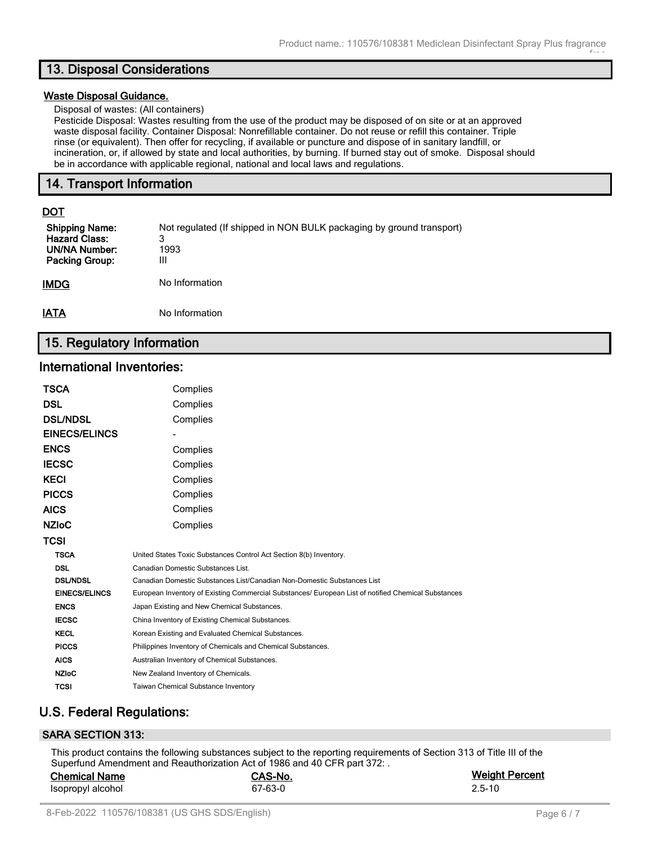# **13. Disposal Considerations**

### **Waste Disposal Guidance.**

Disposal of wastes: (All containers)

Pesticide Disposal: Wastes resulting from the use of the product may be disposed of on site or at an approved waste disposal facility. Container Disposal: Nonrefillable container. Do not reuse or refill this container. Triple rinse (or equivalent). Then offer for recycling, if available or puncture and dispose of in sanitary landfill, or incineration, or, if allowed by state and local authorities, by burning. If burned stay out of smoke. Disposal should be in accordance with applicable regional, national and local laws and regulations.

# **14. Transport Information**

# **DOT**

| <b>Shipping Name:</b><br><b>Hazard Class:</b><br>UN/NA Number:<br>Packing Group: | Not regulated (If shipped in NON BULK packaging by ground transport)<br>3<br>1993<br>Ш |
|----------------------------------------------------------------------------------|----------------------------------------------------------------------------------------|
| IMDG                                                                             | No Information                                                                         |
| IATA                                                                             | No Information                                                                         |

# **15. Regulatory Information**

# **International Inventories:**

| TSCA                 | Complies                                                                                            |
|----------------------|-----------------------------------------------------------------------------------------------------|
| DSL                  | Complies                                                                                            |
| <b>DSL/NDSL</b>      | Complies                                                                                            |
| <b>EINECS/ELINCS</b> |                                                                                                     |
| ENCS                 | Complies                                                                                            |
| IECSC                | Complies                                                                                            |
| KECI                 | Complies                                                                                            |
| <b>PICCS</b>         | Complies                                                                                            |
| AICS                 | Complies                                                                                            |
| NZIoC                | Complies                                                                                            |
| TCSI                 |                                                                                                     |
| <b>TSCA</b>          | United States Toxic Substances Control Act Section 8(b) Inventory.                                  |
| <b>DSL</b>           | Canadian Domestic Substances List.                                                                  |
| <b>DSL/NDSL</b>      | Canadian Domestic Substances List/Canadian Non-Domestic Substances List                             |
| <b>EINECS/ELINCS</b> | European Inventory of Existing Commercial Substances/ European List of notified Chemical Substances |
| <b>ENCS</b>          | Japan Existing and New Chemical Substances.                                                         |
| <b>IECSC</b>         | China Inventory of Existing Chemical Substances.                                                    |
| <b>KECL</b>          | Korean Existing and Evaluated Chemical Substances.                                                  |
| <b>PICCS</b>         | Philippines Inventory of Chemicals and Chemical Substances.                                         |
| <b>AICS</b>          | Australian Inventory of Chemical Substances.                                                        |
| <b>NZIoC</b>         | New Zealand Inventory of Chemicals.                                                                 |
| <b>TCSI</b>          | <b>Taiwan Chemical Substance Inventory</b>                                                          |

# **U.S. Federal Regulations:**

# **SARA SECTION 313:**

This product contains the following substances subject to the reporting requirements of Section 313 of Title III of the Superfund Amendment and Reauthorization Act of 1986 and 40 CFR part 372: .

| <b>Chemical Name</b> | CAS-No. | <b>Weight Percent</b> |
|----------------------|---------|-----------------------|
| Isopropyl alcohol    | 67-63-0 | 2.5-10                |